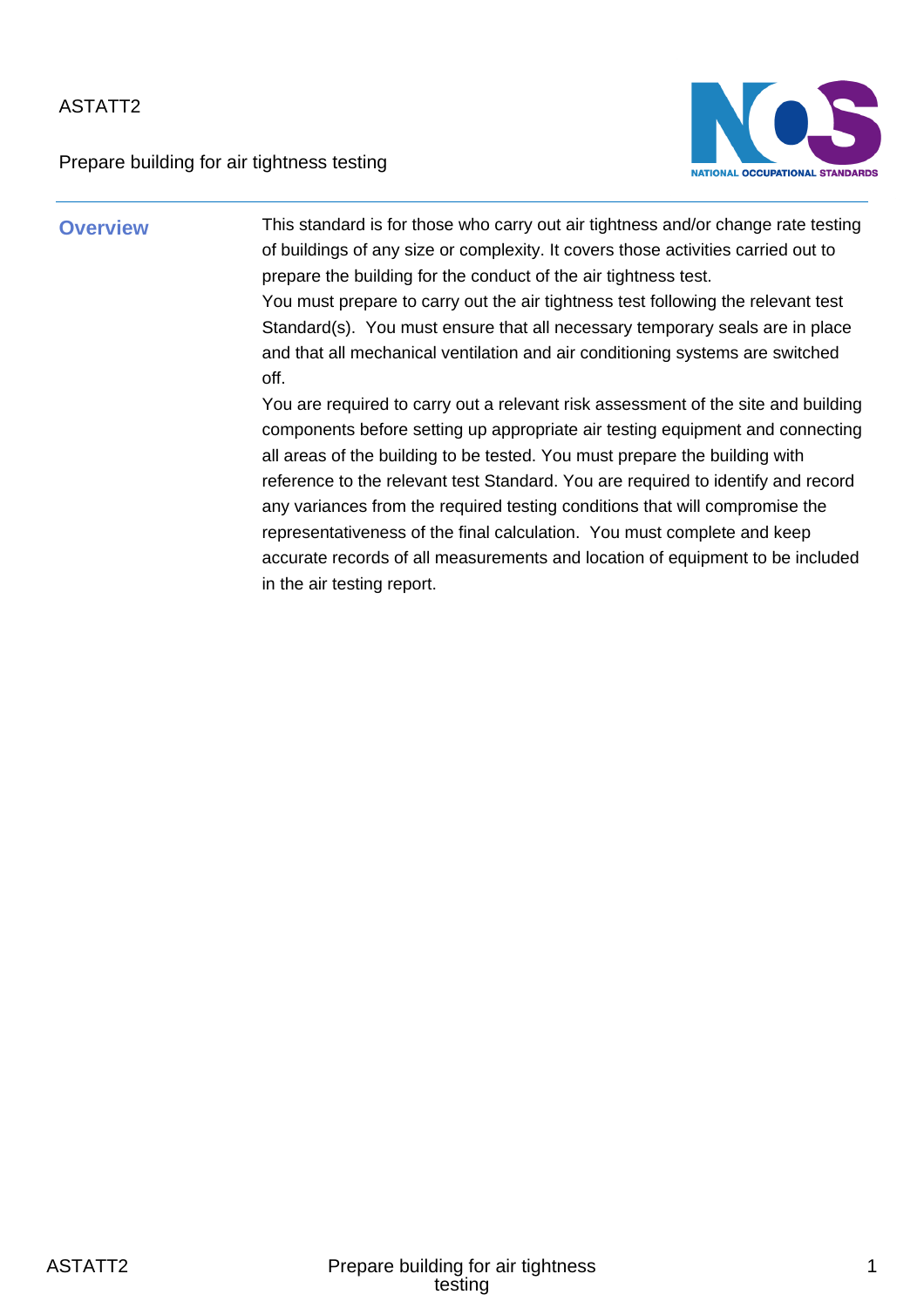Prepare building for air tightness testing



**Overview** This standard is for those who carry out air tightness and/or change rate testing of buildings of any size or complexity. It covers those activities carried out to prepare the building for the conduct of the air tightness test. You must prepare to carry out the air tightness test following the relevant test Standard(s). You must ensure that all necessary temporary seals are in place and that all mechanical ventilation and air conditioning systems are switched off.

> You are required to carry out a relevant risk assessment of the site and building components before setting up appropriate air testing equipment and connecting all areas of the building to be tested. You must prepare the building with reference to the relevant test Standard. You are required to identify and record any variances from the required testing conditions that will compromise the representativeness of the final calculation. You must complete and keep accurate records of all measurements and location of equipment to be included in the air testing report.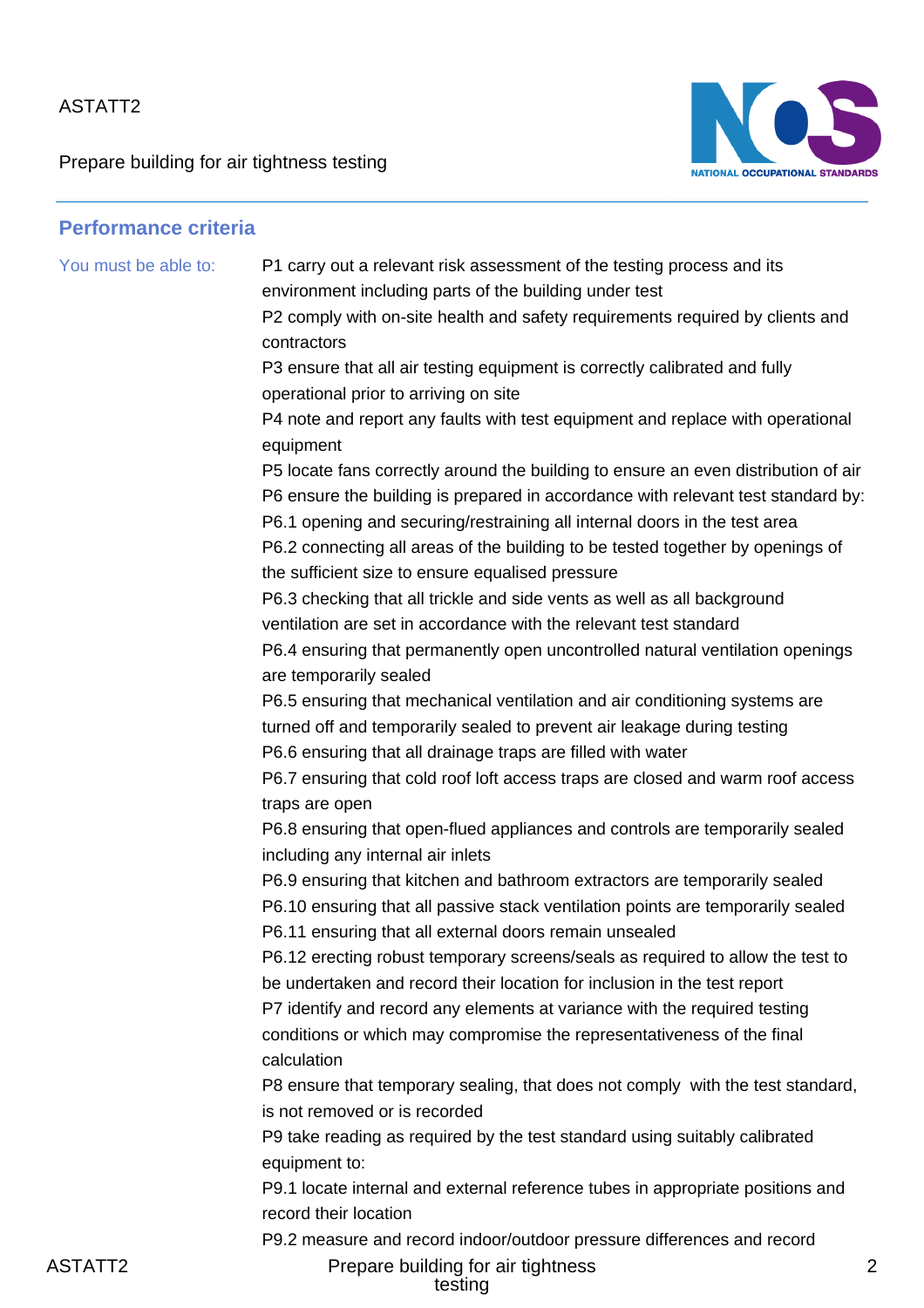Prepare building for air tightness testing



| <b>Performance criteria</b> |                                                                                                                                                                                                                                                                                                                                                                                                                                                                                                                                                                                                                                                                                                                                                                                                                                                                                                                                                                                                                                                                                                                                                                                                                                                                                                                                                                                                                                                                                                                                                                                                                                                                                                                                                                                                                                                                             |
|-----------------------------|-----------------------------------------------------------------------------------------------------------------------------------------------------------------------------------------------------------------------------------------------------------------------------------------------------------------------------------------------------------------------------------------------------------------------------------------------------------------------------------------------------------------------------------------------------------------------------------------------------------------------------------------------------------------------------------------------------------------------------------------------------------------------------------------------------------------------------------------------------------------------------------------------------------------------------------------------------------------------------------------------------------------------------------------------------------------------------------------------------------------------------------------------------------------------------------------------------------------------------------------------------------------------------------------------------------------------------------------------------------------------------------------------------------------------------------------------------------------------------------------------------------------------------------------------------------------------------------------------------------------------------------------------------------------------------------------------------------------------------------------------------------------------------------------------------------------------------------------------------------------------------|
| You must be able to:        | P1 carry out a relevant risk assessment of the testing process and its<br>environment including parts of the building under test<br>P2 comply with on-site health and safety requirements required by clients and<br>contractors<br>P3 ensure that all air testing equipment is correctly calibrated and fully<br>operational prior to arriving on site<br>P4 note and report any faults with test equipment and replace with operational<br>equipment<br>P5 locate fans correctly around the building to ensure an even distribution of air<br>P6 ensure the building is prepared in accordance with relevant test standard by:<br>P6.1 opening and securing/restraining all internal doors in the test area<br>P6.2 connecting all areas of the building to be tested together by openings of<br>the sufficient size to ensure equalised pressure<br>P6.3 checking that all trickle and side vents as well as all background<br>ventilation are set in accordance with the relevant test standard<br>P6.4 ensuring that permanently open uncontrolled natural ventilation openings<br>are temporarily sealed<br>P6.5 ensuring that mechanical ventilation and air conditioning systems are<br>turned off and temporarily sealed to prevent air leakage during testing<br>P6.6 ensuring that all drainage traps are filled with water<br>P6.7 ensuring that cold roof loft access traps are closed and warm roof access<br>traps are open<br>P6.8 ensuring that open-flued appliances and controls are temporarily sealed<br>including any internal air inlets<br>P6.9 ensuring that kitchen and bathroom extractors are temporarily sealed<br>P6.10 ensuring that all passive stack ventilation points are temporarily sealed<br>P6.11 ensuring that all external doors remain unsealed<br>P6.12 erecting robust temporary screens/seals as required to allow the test to |
|                             | be undertaken and record their location for inclusion in the test report<br>P7 identify and record any elements at variance with the required testing<br>conditions or which may compromise the representativeness of the final<br>calculation                                                                                                                                                                                                                                                                                                                                                                                                                                                                                                                                                                                                                                                                                                                                                                                                                                                                                                                                                                                                                                                                                                                                                                                                                                                                                                                                                                                                                                                                                                                                                                                                                              |
|                             | P8 ensure that temporary sealing, that does not comply with the test standard,<br>is not removed or is recorded<br>P9 take reading as required by the test standard using suitably calibrated<br>equipment to:                                                                                                                                                                                                                                                                                                                                                                                                                                                                                                                                                                                                                                                                                                                                                                                                                                                                                                                                                                                                                                                                                                                                                                                                                                                                                                                                                                                                                                                                                                                                                                                                                                                              |
|                             | P9.1 locate internal and external reference tubes in appropriate positions and<br>record their location<br>P9.2 measure and record indoor/outdoor pressure differences and record                                                                                                                                                                                                                                                                                                                                                                                                                                                                                                                                                                                                                                                                                                                                                                                                                                                                                                                                                                                                                                                                                                                                                                                                                                                                                                                                                                                                                                                                                                                                                                                                                                                                                           |

ASTATT2 Prepare building for air tightness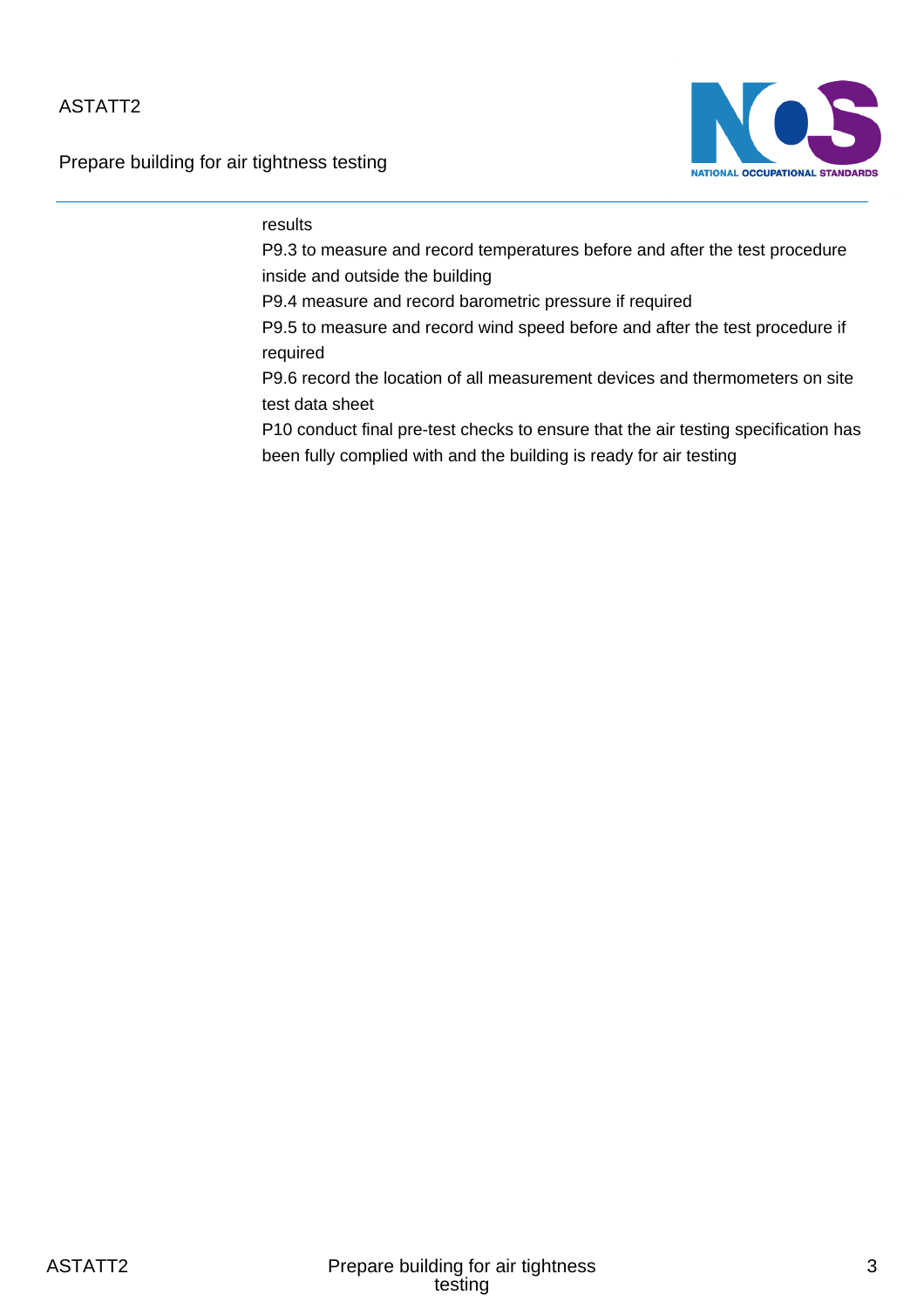Prepare building for air tightness testing



### results

P9.3 to measure and record temperatures before and after the test procedure inside and outside the building

P9.4 measure and record barometric pressure if required

P9.5 to measure and record wind speed before and after the test procedure if required

P9.6 record the location of all measurement devices and thermometers on site test data sheet

P10 conduct final pre-test checks to ensure that the air testing specification has been fully complied with and the building is ready for air testing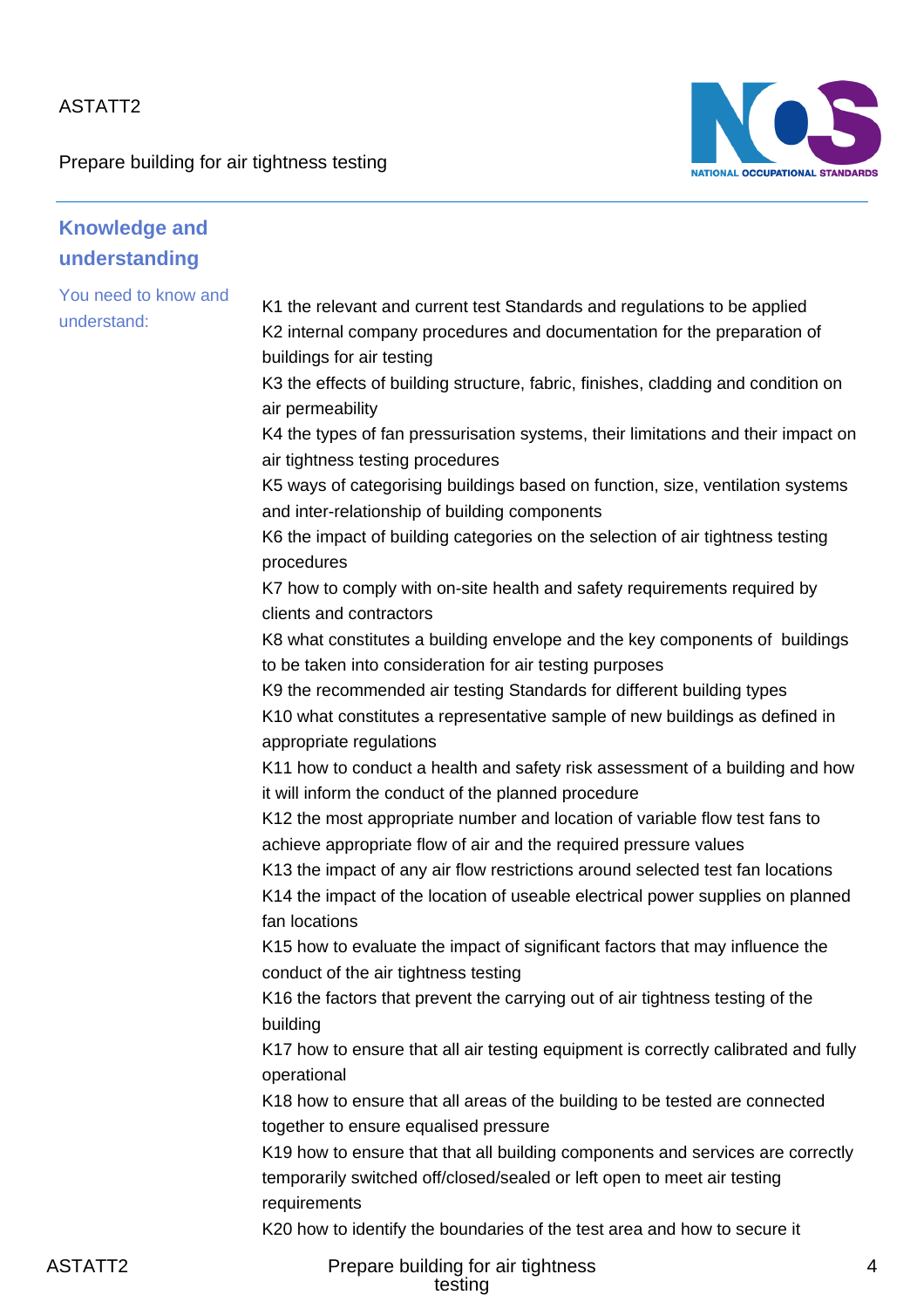Prepare building for air tightness testing



| <b>Knowledge and</b>                |                                                                                                                                                                                                                                                                                                                                                                                                                                                                                                                                                                                                                                                                                                                                                                                                                                                                                                                                                                                                                                                                                                                                                                                                                                                                                                                                                                                                                                                                                                                                                                                                                                                                                                                                                                                                                                                                                                                                                                                                                                                                                                                                                                                                        |
|-------------------------------------|--------------------------------------------------------------------------------------------------------------------------------------------------------------------------------------------------------------------------------------------------------------------------------------------------------------------------------------------------------------------------------------------------------------------------------------------------------------------------------------------------------------------------------------------------------------------------------------------------------------------------------------------------------------------------------------------------------------------------------------------------------------------------------------------------------------------------------------------------------------------------------------------------------------------------------------------------------------------------------------------------------------------------------------------------------------------------------------------------------------------------------------------------------------------------------------------------------------------------------------------------------------------------------------------------------------------------------------------------------------------------------------------------------------------------------------------------------------------------------------------------------------------------------------------------------------------------------------------------------------------------------------------------------------------------------------------------------------------------------------------------------------------------------------------------------------------------------------------------------------------------------------------------------------------------------------------------------------------------------------------------------------------------------------------------------------------------------------------------------------------------------------------------------------------------------------------------------|
| understanding                       |                                                                                                                                                                                                                                                                                                                                                                                                                                                                                                                                                                                                                                                                                                                                                                                                                                                                                                                                                                                                                                                                                                                                                                                                                                                                                                                                                                                                                                                                                                                                                                                                                                                                                                                                                                                                                                                                                                                                                                                                                                                                                                                                                                                                        |
| You need to know and<br>understand: | K1 the relevant and current test Standards and regulations to be applied<br>K2 internal company procedures and documentation for the preparation of<br>buildings for air testing<br>K3 the effects of building structure, fabric, finishes, cladding and condition on<br>air permeability<br>K4 the types of fan pressurisation systems, their limitations and their impact on<br>air tightness testing procedures<br>K5 ways of categorising buildings based on function, size, ventilation systems<br>and inter-relationship of building components<br>K6 the impact of building categories on the selection of air tightness testing<br>procedures<br>K7 how to comply with on-site health and safety requirements required by<br>clients and contractors<br>K8 what constitutes a building envelope and the key components of buildings<br>to be taken into consideration for air testing purposes<br>K9 the recommended air testing Standards for different building types<br>K10 what constitutes a representative sample of new buildings as defined in<br>appropriate regulations<br>K11 how to conduct a health and safety risk assessment of a building and how<br>it will inform the conduct of the planned procedure<br>K12 the most appropriate number and location of variable flow test fans to<br>achieve appropriate flow of air and the required pressure values<br>K13 the impact of any air flow restrictions around selected test fan locations<br>K14 the impact of the location of useable electrical power supplies on planned<br>fan locations<br>K15 how to evaluate the impact of significant factors that may influence the<br>conduct of the air tightness testing<br>K16 the factors that prevent the carrying out of air tightness testing of the<br>building<br>K17 how to ensure that all air testing equipment is correctly calibrated and fully<br>operational<br>K18 how to ensure that all areas of the building to be tested are connected<br>together to ensure equalised pressure<br>K19 how to ensure that that all building components and services are correctly<br>temporarily switched off/closed/sealed or left open to meet air testing<br>requirements |
|                                     | K20 how to identify the boundaries of the test area and how to secure it                                                                                                                                                                                                                                                                                                                                                                                                                                                                                                                                                                                                                                                                                                                                                                                                                                                                                                                                                                                                                                                                                                                                                                                                                                                                                                                                                                                                                                                                                                                                                                                                                                                                                                                                                                                                                                                                                                                                                                                                                                                                                                                               |
| 0T * TTO                            | The contract of the contract of                                                                                                                                                                                                                                                                                                                                                                                                                                                                                                                                                                                                                                                                                                                                                                                                                                                                                                                                                                                                                                                                                                                                                                                                                                                                                                                                                                                                                                                                                                                                                                                                                                                                                                                                                                                                                                                                                                                                                                                                                                                                                                                                                                        |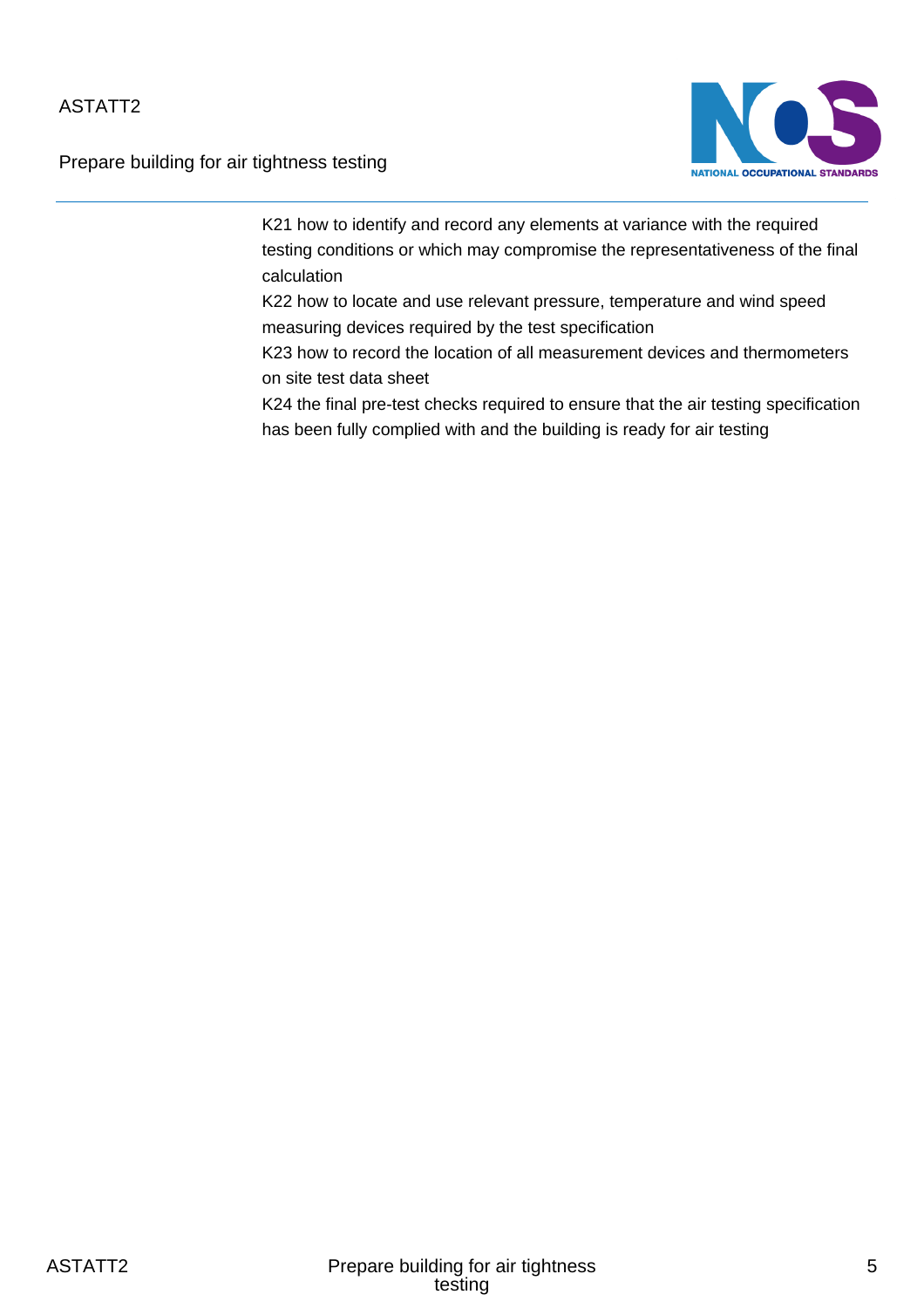Prepare building for air tightness testing



K21 how to identify and record any elements at variance with the required testing conditions or which may compromise the representativeness of the final calculation

K22 how to locate and use relevant pressure, temperature and wind speed measuring devices required by the test specification

K23 how to record the location of all measurement devices and thermometers on site test data sheet

K24 the final pre-test checks required to ensure that the air testing specification has been fully complied with and the building is ready for air testing